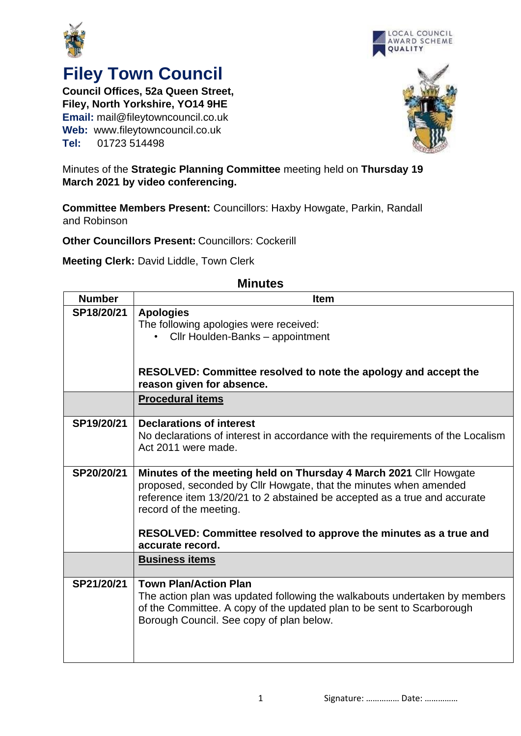



## **Filey Town Council**

**Council Offices, 52a Queen Street, Filey, North Yorkshire, YO14 9HE Email:** mail@fileytowncouncil.co.uk **Web:** www.fileytowncouncil.co.uk **Tel:** 01723 514498



Minutes of the **Strategic Planning Committee** meeting held on **Thursday 19 March 2021 by video conferencing.**

**Committee Members Present:** Councillors: Haxby Howgate, Parkin, Randall and Robinson

**Other Councillors Present:** Councillors: Cockerill

**Meeting Clerk:** David Liddle, Town Clerk

| <b>Number</b> | <b>Item</b>                                                                     |
|---------------|---------------------------------------------------------------------------------|
| SP18/20/21    | <b>Apologies</b>                                                                |
|               | The following apologies were received:                                          |
|               | Cllr Houlden-Banks - appointment                                                |
|               |                                                                                 |
|               |                                                                                 |
|               | RESOLVED: Committee resolved to note the apology and accept the                 |
|               | reason given for absence.                                                       |
|               | <b>Procedural items</b>                                                         |
|               |                                                                                 |
| SP19/20/21    | <b>Declarations of interest</b>                                                 |
|               | No declarations of interest in accordance with the requirements of the Localism |
|               | Act 2011 were made.                                                             |
|               |                                                                                 |
| SP20/20/21    | Minutes of the meeting held on Thursday 4 March 2021 Cllr Howgate               |
|               | proposed, seconded by Cllr Howgate, that the minutes when amended               |
|               | reference item 13/20/21 to 2 abstained be accepted as a true and accurate       |
|               | record of the meeting.                                                          |
|               |                                                                                 |
|               | RESOLVED: Committee resolved to approve the minutes as a true and               |
|               | accurate record.                                                                |
|               | <b>Business items</b>                                                           |
|               |                                                                                 |
| SP21/20/21    | <b>Town Plan/Action Plan</b>                                                    |
|               | The action plan was updated following the walkabouts undertaken by members      |
|               | of the Committee. A copy of the updated plan to be sent to Scarborough          |
|               | Borough Council. See copy of plan below.                                        |
|               |                                                                                 |
|               |                                                                                 |
|               |                                                                                 |

## **Minutes**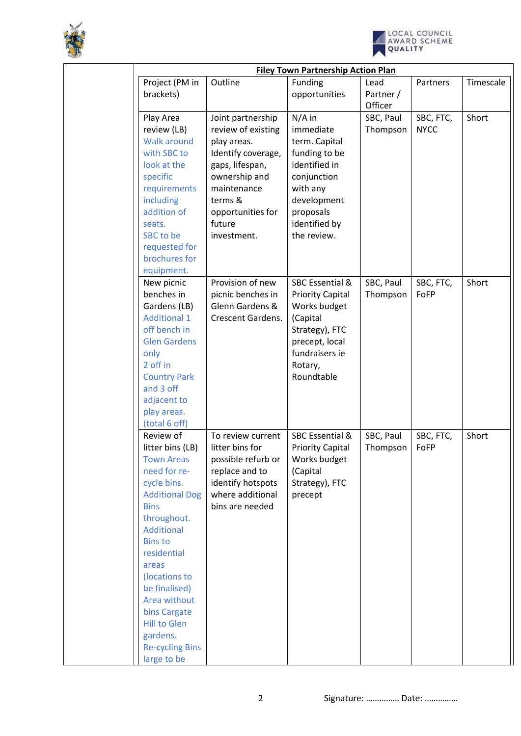



|                                                                                                                                                                                                                                                                                                                                                       |                                                                                                                                                                                          | <b>Filey Town Partnership Action Plan</b>                                                                                                                        |                              |                          |           |
|-------------------------------------------------------------------------------------------------------------------------------------------------------------------------------------------------------------------------------------------------------------------------------------------------------------------------------------------------------|------------------------------------------------------------------------------------------------------------------------------------------------------------------------------------------|------------------------------------------------------------------------------------------------------------------------------------------------------------------|------------------------------|--------------------------|-----------|
| Project (PM in<br>brackets)                                                                                                                                                                                                                                                                                                                           | Outline                                                                                                                                                                                  | Funding<br>opportunities                                                                                                                                         | Lead<br>Partner /<br>Officer | Partners                 | Timescale |
| Play Area<br>review (LB)<br><b>Walk around</b><br>with SBC to<br>look at the<br>specific<br>requirements<br>including<br>addition of<br>seats.<br>SBC to be<br>requested for<br>brochures for<br>equipment.                                                                                                                                           | Joint partnership<br>review of existing<br>play areas.<br>Identify coverage,<br>gaps, lifespan,<br>ownership and<br>maintenance<br>terms &<br>opportunities for<br>future<br>investment. | $N/A$ in<br>immediate<br>term. Capital<br>funding to be<br>identified in<br>conjunction<br>with any<br>development<br>proposals<br>identified by<br>the review.  | SBC, Paul<br>Thompson        | SBC, FTC,<br><b>NYCC</b> | Short     |
| New picnic<br>benches in<br>Gardens (LB)<br><b>Additional 1</b><br>off bench in<br><b>Glen Gardens</b><br>only<br>2 off in<br><b>Country Park</b><br>and 3 off<br>adjacent to<br>play areas.<br>(total 6 off)                                                                                                                                         | Provision of new<br>picnic benches in<br>Glenn Gardens &<br>Crescent Gardens.                                                                                                            | <b>SBC Essential &amp;</b><br><b>Priority Capital</b><br>Works budget<br>(Capital<br>Strategy), FTC<br>precept, local<br>fundraisers ie<br>Rotary,<br>Roundtable | SBC, Paul<br>Thompson        | SBC, FTC,<br>FoFP        | Short     |
| Review of<br>litter bins (LB)<br><b>Town Areas</b><br>need for re-<br>cycle bins.<br><b>Additional Dog</b><br><b>Bins</b><br>throughout.<br><b>Additional</b><br><b>Bins to</b><br>residential<br>areas<br>(locations to<br>be finalised)<br>Area without<br>bins Cargate<br><b>Hill to Glen</b><br>gardens.<br><b>Re-cycling Bins</b><br>large to be | To review current<br>litter bins for<br>possible refurb or<br>replace and to<br>identify hotspots<br>where additional<br>bins are needed                                                 | <b>SBC Essential &amp;</b><br><b>Priority Capital</b><br>Works budget<br>(Capital<br>Strategy), FTC<br>precept                                                   | SBC, Paul<br>Thompson        | SBC, FTC,<br>FoFP        | Short     |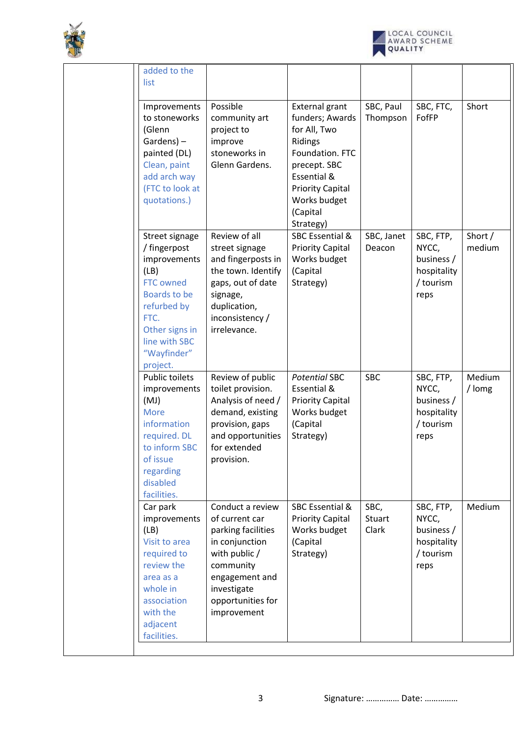



| added to the<br>list                                                                                                                                                            |                                                                                                                                                                               |                                                                                                                                                                                           |                                |                                                                      |                   |
|---------------------------------------------------------------------------------------------------------------------------------------------------------------------------------|-------------------------------------------------------------------------------------------------------------------------------------------------------------------------------|-------------------------------------------------------------------------------------------------------------------------------------------------------------------------------------------|--------------------------------|----------------------------------------------------------------------|-------------------|
| Improvements<br>to stoneworks<br>(Glenn<br>Gardens) -<br>painted (DL)<br>Clean, paint<br>add arch way<br>(FTC to look at<br>quotations.)                                        | Possible<br>community art<br>project to<br>improve<br>stoneworks in<br>Glenn Gardens.                                                                                         | <b>External grant</b><br>funders; Awards<br>for All, Two<br>Ridings<br>Foundation. FTC<br>precept. SBC<br>Essential &<br><b>Priority Capital</b><br>Works budget<br>(Capital<br>Strategy) | SBC, Paul<br>Thompson          | SBC, FTC,<br>FofFP                                                   | Short             |
| Street signage<br>/ fingerpost<br>improvements<br>(LB)<br><b>FTC owned</b><br>Boards to be<br>refurbed by<br>FTC.<br>Other signs in<br>line with SBC<br>"Wayfinder"<br>project. | Review of all<br>street signage<br>and fingerposts in<br>the town. Identify<br>gaps, out of date<br>signage,<br>duplication,<br>inconsistency/<br>irrelevance.                | <b>SBC Essential &amp;</b><br><b>Priority Capital</b><br>Works budget<br>(Capital<br>Strategy)                                                                                            | SBC, Janet<br>Deacon           | SBC, FTP,<br>NYCC,<br>business /<br>hospitality<br>/ tourism<br>reps | Short /<br>medium |
| Public toilets<br>improvements<br>(MJ)<br><b>More</b><br>information<br>required. DL<br>to inform SBC<br>of issue<br>regarding<br>disabled<br>facilities.                       | Review of public<br>toilet provision.<br>Analysis of need /<br>demand, existing<br>provision, gaps<br>and opportunities<br>for extended<br>provision.                         | <b>Potential SBC</b><br>Essential &<br><b>Priority Capital</b><br>Works budget<br>(Capital<br>Strategy)                                                                                   | <b>SBC</b>                     | SBC, FTP,<br>NYCC,<br>business /<br>hospitality<br>/ tourism<br>reps | Medium<br>/ lomg  |
| Car park<br>improvements<br>(LB)<br>Visit to area<br>required to<br>review the<br>area as a<br>whole in<br>association<br>with the<br>adjacent<br>facilities.                   | Conduct a review<br>of current car<br>parking facilities<br>in conjunction<br>with public /<br>community<br>engagement and<br>investigate<br>opportunities for<br>improvement | <b>SBC Essential &amp;</b><br><b>Priority Capital</b><br>Works budget<br>(Capital<br>Strategy)                                                                                            | SBC,<br><b>Stuart</b><br>Clark | SBC, FTP,<br>NYCC,<br>business /<br>hospitality<br>/ tourism<br>reps | Medium            |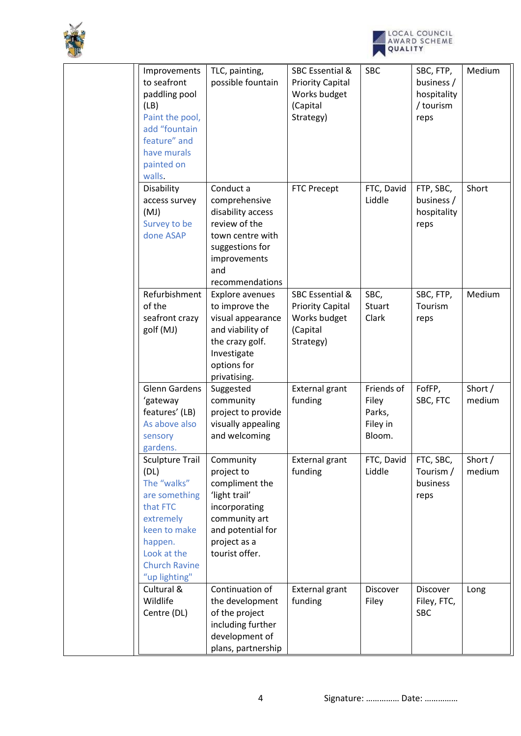



| Improvements                          | TLC, painting,                           | <b>SBC Essential &amp;</b> | <b>SBC</b>         | SBC, FTP,                | Medium  |
|---------------------------------------|------------------------------------------|----------------------------|--------------------|--------------------------|---------|
| to seafront                           | possible fountain                        | <b>Priority Capital</b>    |                    | business /               |         |
| paddling pool<br>(LB)                 |                                          | Works budget<br>(Capital   |                    | hospitality<br>/ tourism |         |
| Paint the pool,                       |                                          | Strategy)                  |                    | reps                     |         |
| add "fountain                         |                                          |                            |                    |                          |         |
| feature" and                          |                                          |                            |                    |                          |         |
| have murals                           |                                          |                            |                    |                          |         |
| painted on                            |                                          |                            |                    |                          |         |
| walls.                                |                                          |                            |                    |                          |         |
| Disability                            | Conduct a                                | <b>FTC Precept</b>         | FTC, David         | FTP, SBC,                | Short   |
| access survey                         | comprehensive                            |                            | Liddle             | business /               |         |
| (MJ)                                  | disability access                        |                            |                    | hospitality              |         |
| Survey to be                          | review of the                            |                            |                    | reps                     |         |
| done ASAP                             | town centre with                         |                            |                    |                          |         |
|                                       | suggestions for                          |                            |                    |                          |         |
|                                       | improvements<br>and                      |                            |                    |                          |         |
|                                       | recommendations                          |                            |                    |                          |         |
| Refurbishment                         | Explore avenues                          | SBC Essential &            | SBC,               | SBC, FTP,                | Medium  |
| of the                                | to improve the                           | <b>Priority Capital</b>    | Stuart             | Tourism                  |         |
| seafront crazy                        | visual appearance                        | Works budget               | Clark              | reps                     |         |
| golf (MJ)                             | and viability of                         | (Capital                   |                    |                          |         |
|                                       | the crazy golf.                          | Strategy)                  |                    |                          |         |
|                                       | Investigate                              |                            |                    |                          |         |
|                                       | options for                              |                            |                    |                          |         |
|                                       | privatising.                             |                            |                    |                          |         |
| <b>Glenn Gardens</b>                  | Suggested                                | External grant             | Friends of         | FofFP,                   | Short / |
| 'gateway                              | community                                | funding                    | Filey              | SBC, FTC                 | medium  |
| features' (LB)<br>As above also       | project to provide<br>visually appealing |                            | Parks,<br>Filey in |                          |         |
| sensory                               | and welcoming                            |                            | Bloom.             |                          |         |
| gardens.                              |                                          |                            |                    |                          |         |
| <b>Sculpture Trail</b>                | Community                                | <b>External grant</b>      | FTC, David         | FTC, SBC,                | Short / |
| (DL)                                  | project to                               | funding                    | Liddle             | Tourism /                | medium  |
| The "walks"                           | compliment the                           |                            |                    | business                 |         |
| are something                         | 'light trail'                            |                            |                    | reps                     |         |
| that FTC                              | incorporating                            |                            |                    |                          |         |
| extremely                             | community art                            |                            |                    |                          |         |
| keen to make                          | and potential for                        |                            |                    |                          |         |
| happen.                               | project as a                             |                            |                    |                          |         |
| Look at the                           | tourist offer.                           |                            |                    |                          |         |
| <b>Church Ravine</b><br>"up lighting" |                                          |                            |                    |                          |         |
| Cultural &                            | Continuation of                          | External grant             | Discover           | Discover                 | Long    |
| Wildlife                              | the development                          | funding                    | Filey              | Filey, FTC,              |         |
| Centre (DL)                           | of the project                           |                            |                    | <b>SBC</b>               |         |
|                                       | including further                        |                            |                    |                          |         |
|                                       | development of                           |                            |                    |                          |         |
|                                       | plans, partnership                       |                            |                    |                          |         |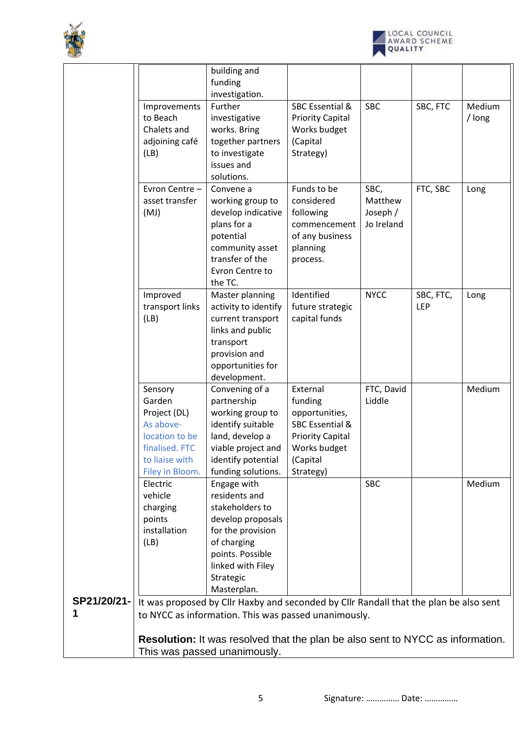



|             |                                                                                                                         | building and<br>funding<br>investigation.                                                                                                                                                                                                                              |                                                                                                                                         |                                             |                         |                  |
|-------------|-------------------------------------------------------------------------------------------------------------------------|------------------------------------------------------------------------------------------------------------------------------------------------------------------------------------------------------------------------------------------------------------------------|-----------------------------------------------------------------------------------------------------------------------------------------|---------------------------------------------|-------------------------|------------------|
|             | Improvements<br>to Beach<br>Chalets and<br>adjoining café<br>(LB)                                                       | Further<br>investigative<br>works. Bring<br>together partners<br>to investigate<br>issues and<br>solutions.                                                                                                                                                            | <b>SBC Essential &amp;</b><br><b>Priority Capital</b><br>Works budget<br>(Capital<br>Strategy)                                          | <b>SBC</b>                                  | SBC, FTC                | Medium<br>/ long |
|             | Evron Centre-<br>asset transfer<br>(MJ)                                                                                 | Convene a<br>working group to<br>develop indicative<br>plans for a<br>potential<br>community asset<br>transfer of the<br>Evron Centre to<br>the TC.                                                                                                                    | Funds to be<br>considered<br>following<br>commencement<br>of any business<br>planning<br>process.                                       | SBC,<br>Matthew<br>Joseph $/$<br>Jo Ireland | FTC, SBC                | Long             |
|             | Improved<br>transport links<br>(LB)                                                                                     | Master planning<br>activity to identify<br>current transport<br>links and public<br>transport<br>provision and<br>opportunities for<br>development.                                                                                                                    | Identified<br>future strategic<br>capital funds                                                                                         | <b>NYCC</b>                                 | SBC, FTC,<br><b>LEP</b> | Long             |
|             | Sensory<br>Garden<br>Project (DL)<br>As above-<br>location to be<br>finalised. FTC<br>to liaise with<br>Filey in Bloom. | Convening of a<br>partnership<br>working group to<br>identify suitable<br>land, develop a<br>viable project and<br>identify potential<br>funding solutions.                                                                                                            | External<br>funding<br>opportunities,<br><b>SBC Essential &amp;</b><br><b>Priority Capital</b><br>Works budget<br>(Capital<br>Strategy) | FTC, David<br>Liddle                        |                         | Medium           |
|             | Electric<br>vehicle<br>charging<br>points<br>installation<br>(LB)                                                       | Engage with<br>residents and<br>stakeholders to<br>develop proposals<br>for the provision<br>of charging<br>points. Possible<br>linked with Filey<br>Strategic<br>Masterplan.                                                                                          |                                                                                                                                         | <b>SBC</b>                                  |                         | Medium           |
| SP21/20/21- |                                                                                                                         | It was proposed by Cllr Haxby and seconded by Cllr Randall that the plan be also sent<br>to NYCC as information. This was passed unanimously.<br><b>Resolution:</b> It was resolved that the plan be also sent to NYCC as information.<br>This was passed unanimously. |                                                                                                                                         |                                             |                         |                  |